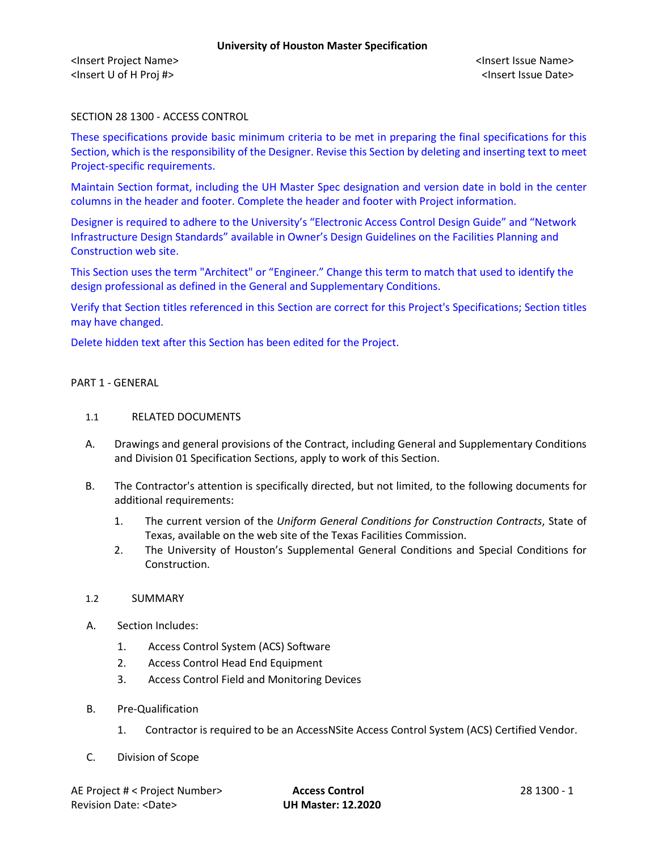# SECTION 28 1300 - ACCESS CONTROL

These specifications provide basic minimum criteria to be met in preparing the final specifications for this Section, which is the responsibility of the Designer. Revise this Section by deleting and inserting text to meet Project-specific requirements.

Maintain Section format, including the UH Master Spec designation and version date in bold in the center columns in the header and footer. Complete the header and footer with Project information.

Designer is required to adhere to the University's "Electronic Access Control Design Guide" and "Network Infrastructure Design Standards" available in Owner's Design Guidelines on the Facilities Planning and Construction web site.

This Section uses the term "Architect" or "Engineer." Change this term to match that used to identify the design professional as defined in the General and Supplementary Conditions.

Verify that Section titles referenced in this Section are correct for this Project's Specifications; Section titles may have changed.

Delete hidden text after this Section has been edited for the Project.

#### PART 1 - GENERAL

#### 1.1 RELATED DOCUMENTS

- A. Drawings and general provisions of the Contract, including General and Supplementary Conditions and Division 01 Specification Sections, apply to work of this Section.
- B. The Contractor's attention is specifically directed, but not limited, to the following documents for additional requirements:
	- 1. The current version of the *Uniform General Conditions for Construction Contracts*, State of Texas, available on the web site of the Texas Facilities Commission.
	- 2. The University of Houston's Supplemental General Conditions and Special Conditions for Construction.

#### 1.2 SUMMARY

- A. Section Includes:
	- 1. Access Control System (ACS) Software
	- 2. Access Control Head End Equipment
	- 3. Access Control Field and Monitoring Devices
- B. Pre-Qualification
	- 1. Contractor is required to be an AccessNSite Access Control System (ACS) Certified Vendor.
- C. Division of Scope

AE Project # < Project Number> **Access Control** 28 1300 - 1 Revision Date: <Date> **UH Master: 12.2020**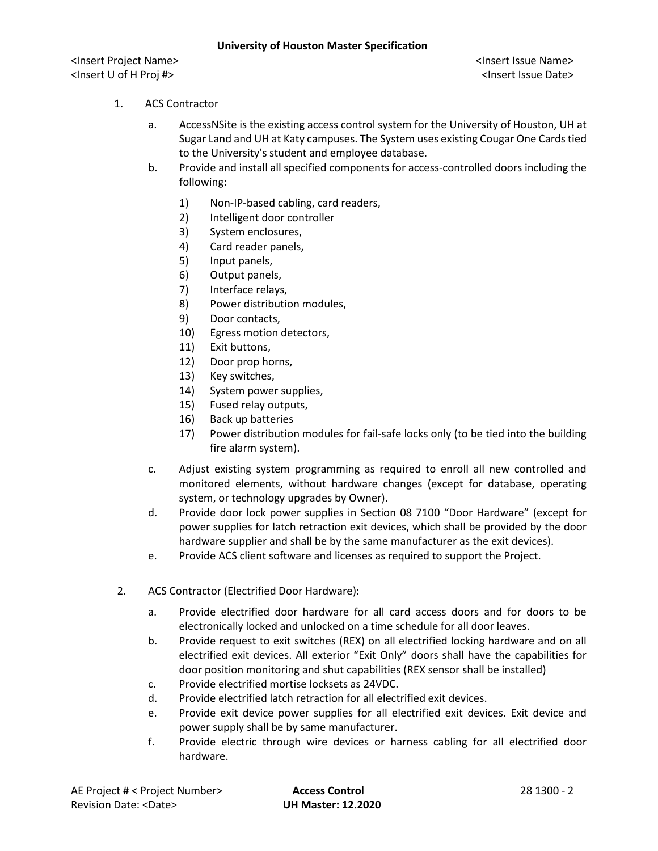# 1. ACS Contractor

- a. AccessNSite is the existing access control system for the University of Houston, UH at Sugar Land and UH at Katy campuses. The System uses existing Cougar One Cards tied to the University's student and employee database.
- b. Provide and install all specified components for access-controlled doors including the following:
	- 1) Non-IP-based cabling, card readers,
	- 2) Intelligent door controller
	- 3) System enclosures,
	- 4) Card reader panels,
	- 5) Input panels,
	- 6) Output panels,
	- 7) Interface relays,
	- 8) Power distribution modules,
	- 9) Door contacts,
	- 10) Egress motion detectors,
	- 11) Exit buttons,
	- 12) Door prop horns,
	- 13) Key switches,
	- 14) System power supplies,
	- 15) Fused relay outputs,
	- 16) Back up batteries
	- 17) Power distribution modules for fail-safe locks only (to be tied into the building fire alarm system).
- c. Adjust existing system programming as required to enroll all new controlled and monitored elements, without hardware changes (except for database, operating system, or technology upgrades by Owner).
- d. Provide door lock power supplies in Section 08 7100 "Door Hardware" (except for power supplies for latch retraction exit devices, which shall be provided by the door hardware supplier and shall be by the same manufacturer as the exit devices).
- e. Provide ACS client software and licenses as required to support the Project.
- 2. ACS Contractor (Electrified Door Hardware):
	- a. Provide electrified door hardware for all card access doors and for doors to be electronically locked and unlocked on a time schedule for all door leaves.
	- b. Provide request to exit switches (REX) on all electrified locking hardware and on all electrified exit devices. All exterior "Exit Only" doors shall have the capabilities for door position monitoring and shut capabilities (REX sensor shall be installed)
	- c. Provide electrified mortise locksets as 24VDC.
	- d. Provide electrified latch retraction for all electrified exit devices.
	- e. Provide exit device power supplies for all electrified exit devices. Exit device and power supply shall be by same manufacturer.
	- f. Provide electric through wire devices or harness cabling for all electrified door hardware.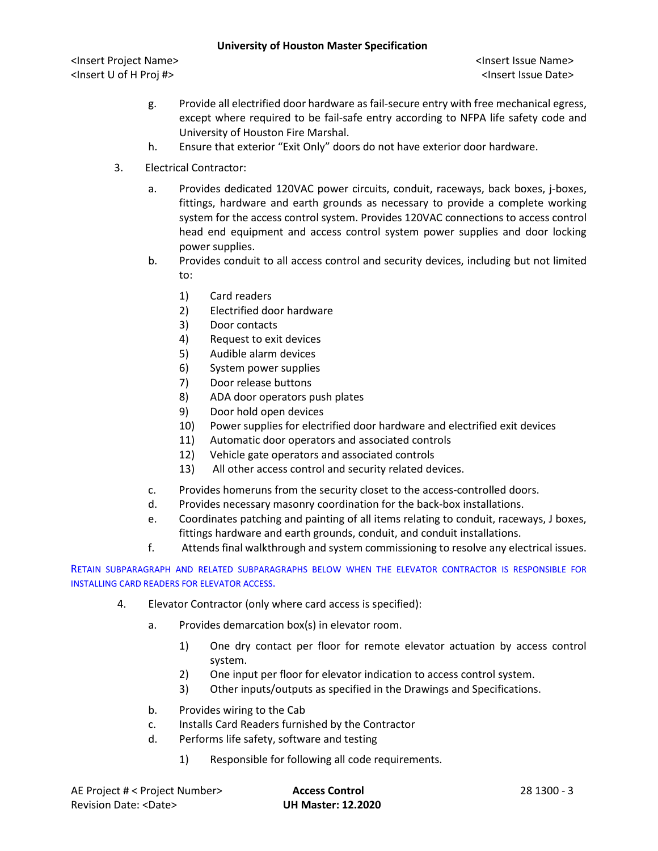<Insert Project Name> <Insert Issue Name> <Insert U of H Proj #> <Insert Issue Date>

- g. Provide all electrified door hardware as fail-secure entry with free mechanical egress, except where required to be fail-safe entry according to NFPA life safety code and University of Houston Fire Marshal.
- h. Ensure that exterior "Exit Only" doors do not have exterior door hardware.
- 3. Electrical Contractor:
	- a. Provides dedicated 120VAC power circuits, conduit, raceways, back boxes, j-boxes, fittings, hardware and earth grounds as necessary to provide a complete working system for the access control system. Provides 120VAC connections to access control head end equipment and access control system power supplies and door locking power supplies.
	- b. Provides conduit to all access control and security devices, including but not limited to:
		- 1) Card readers
		- 2) Electrified door hardware
		- 3) Door contacts
		- 4) Request to exit devices
		- 5) Audible alarm devices
		- 6) System power supplies
		- 7) Door release buttons
		- 8) ADA door operators push plates
		- 9) Door hold open devices
		- 10) Power supplies for electrified door hardware and electrified exit devices
		- 11) Automatic door operators and associated controls
		- 12) Vehicle gate operators and associated controls
		- 13) All other access control and security related devices.
	- c. Provides homeruns from the security closet to the access-controlled doors.
	- d. Provides necessary masonry coordination for the back-box installations.
	- e. Coordinates patching and painting of all items relating to conduit, raceways, J boxes, fittings hardware and earth grounds, conduit, and conduit installations.
	- f. Attends final walkthrough and system commissioning to resolve any electrical issues.

RETAIN SUBPARAGRAPH AND RELATED SUBPARAGRAPHS BELOW WHEN THE ELEVATOR CONTRACTOR IS RESPONSIBLE FOR INSTALLING CARD READERS FOR ELEVATOR ACCESS.

- 4. Elevator Contractor (only where card access is specified):
	- a. Provides demarcation box(s) in elevator room.
		- 1) One dry contact per floor for remote elevator actuation by access control system.
		- 2) One input per floor for elevator indication to access control system.
		- 3) Other inputs/outputs as specified in the Drawings and Specifications.
	- b. Provides wiring to the Cab
	- c. Installs Card Readers furnished by the Contractor
	- d. Performs life safety, software and testing
		- 1) Responsible for following all code requirements.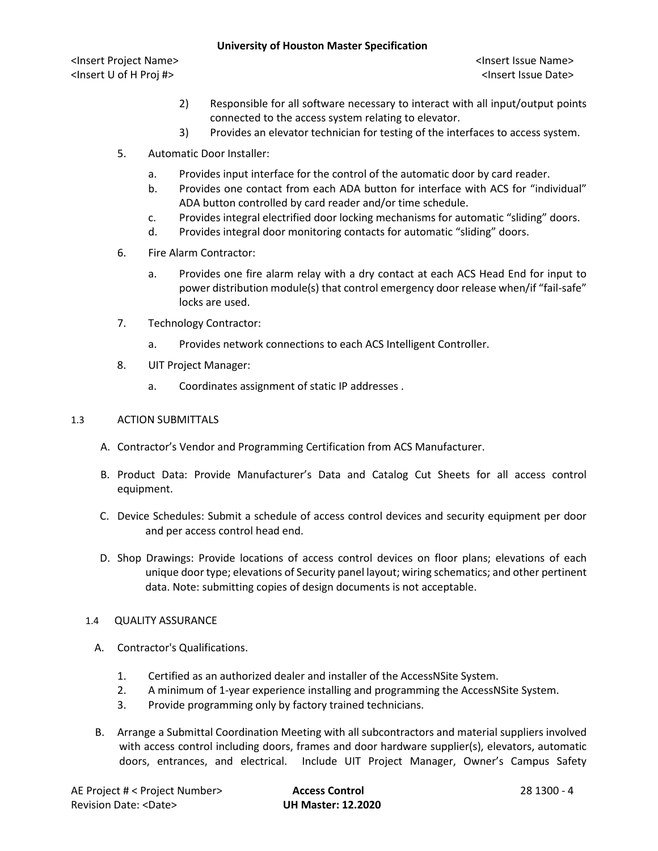<Insert Project Name> <Insert Issue Name> <Insert U of H Proj #> <Insert Issue Date>

- 2) Responsible for all software necessary to interact with all input/output points connected to the access system relating to elevator.
- 3) Provides an elevator technician for testing of the interfaces to access system.
- 5. Automatic Door Installer:
	- a. Provides input interface for the control of the automatic door by card reader.
	- b. Provides one contact from each ADA button for interface with ACS for "individual" ADA button controlled by card reader and/or time schedule.
	- c. Provides integral electrified door locking mechanisms for automatic "sliding" doors.
	- d. Provides integral door monitoring contacts for automatic "sliding" doors.
- 6. Fire Alarm Contractor:
	- a. Provides one fire alarm relay with a dry contact at each ACS Head End for input to power distribution module(s) that control emergency door release when/if "fail-safe" locks are used.
- 7. Technology Contractor:
	- a. Provides network connections to each ACS Intelligent Controller.
- 8. UIT Project Manager:
	- a. Coordinates assignment of static IP addresses .

#### 1.3 ACTION SUBMITTALS

- A. Contractor's Vendor and Programming Certification from ACS Manufacturer.
- B. Product Data: Provide Manufacturer's Data and Catalog Cut Sheets for all access control equipment.
- C. Device Schedules: Submit a schedule of access control devices and security equipment per door and per access control head end.
- D. Shop Drawings: Provide locations of access control devices on floor plans; elevations of each unique door type; elevations of Security panel layout; wiring schematics; and other pertinent data. Note: submitting copies of design documents is not acceptable.

#### 1.4 QUALITY ASSURANCE

- A. Contractor's Qualifications.
	- 1. Certified as an authorized dealer and installer of the AccessNSite System.
	- 2. A minimum of 1-year experience installing and programming the AccessNSite System.
	- 3. Provide programming only by factory trained technicians.
- B. Arrange a Submittal Coordination Meeting with all subcontractors and material suppliers involved with access control including doors, frames and door hardware supplier(s), elevators, automatic doors, entrances, and electrical. Include UIT Project Manager, Owner's Campus Safety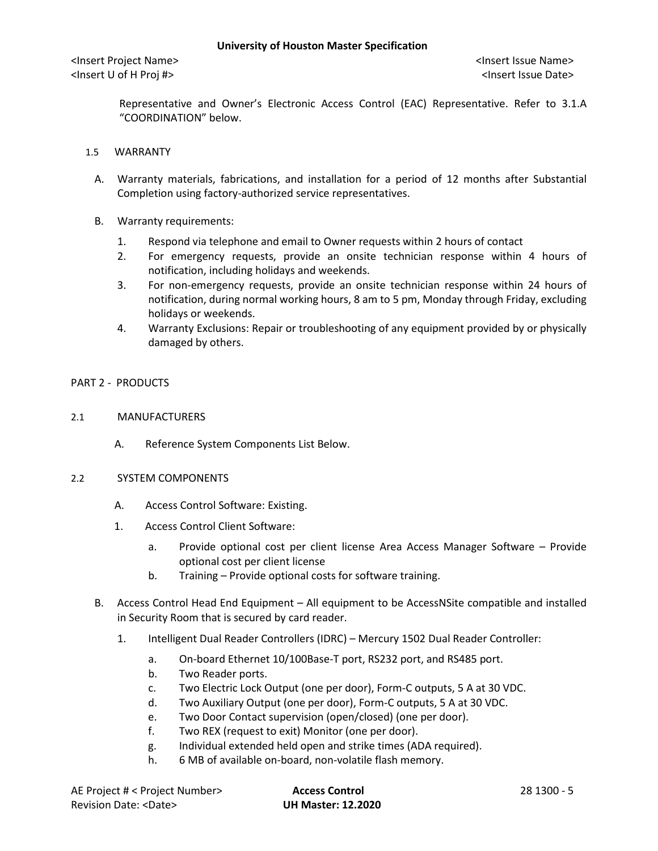Representative and Owner's Electronic Access Control (EAC) Representative. Refer to 3.1.A "COORDINATION" below.

- 1.5 WARRANTY
	- A. Warranty materials, fabrications, and installation for a period of 12 months after Substantial Completion using factory-authorized service representatives.
	- B. Warranty requirements:
		- 1. Respond via telephone and email to Owner requests within 2 hours of contact
		- 2. For emergency requests, provide an onsite technician response within 4 hours of notification, including holidays and weekends.
		- 3. For non-emergency requests, provide an onsite technician response within 24 hours of notification, during normal working hours, 8 am to 5 pm, Monday through Friday, excluding holidays or weekends.
		- 4. Warranty Exclusions: Repair or troubleshooting of any equipment provided by or physically damaged by others.

# PART 2 - PRODUCTS

- 2.1 MANUFACTURERS
	- A. Reference System Components List Below.
- 2.2 SYSTEM COMPONENTS
	- A. Access Control Software: Existing.
	- 1. Access Control Client Software:
		- a. Provide optional cost per client license Area Access Manager Software Provide optional cost per client license
		- b. Training Provide optional costs for software training.
	- B. Access Control Head End Equipment All equipment to be AccessNSite compatible and installed in Security Room that is secured by card reader.
		- 1. Intelligent Dual Reader Controllers (IDRC) Mercury 1502 Dual Reader Controller:
			- a. On-board Ethernet 10/100Base-T port, RS232 port, and RS485 port.
			- b. Two Reader ports.
			- c. Two Electric Lock Output (one per door), Form-C outputs, 5 A at 30 VDC.
			- d. Two Auxiliary Output (one per door), Form-C outputs, 5 A at 30 VDC.
			- e. Two Door Contact supervision (open/closed) (one per door).
			- f. Two REX (request to exit) Monitor (one per door).
			- g. Individual extended held open and strike times (ADA required).
			- h. 6 MB of available on-board, non-volatile flash memory.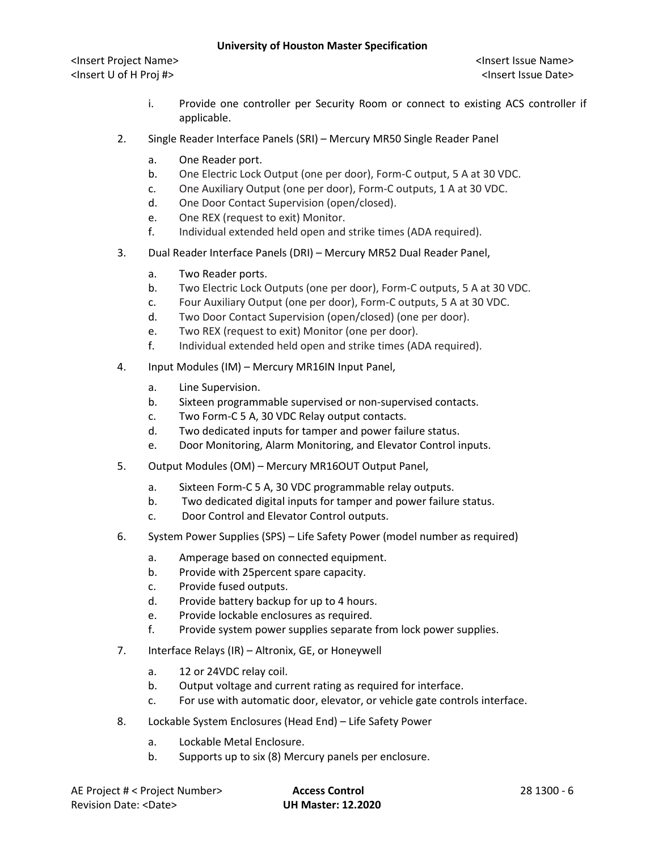<Insert Project Name> <Insert Issue Name> <Insert U of H Proj #> <Insert Issue Date>

- i. Provide one controller per Security Room or connect to existing ACS controller if applicable.
- 2. Single Reader Interface Panels (SRI) Mercury MR50 Single Reader Panel
	- a. One Reader port.
	- b. One Electric Lock Output (one per door), Form-C output, 5 A at 30 VDC.
	- c. One Auxiliary Output (one per door), Form-C outputs, 1 A at 30 VDC.
	- d. One Door Contact Supervision (open/closed).
	- e. One REX (request to exit) Monitor.
	- f. Individual extended held open and strike times (ADA required).
- 3. Dual Reader Interface Panels (DRI) Mercury MR52 Dual Reader Panel,
	- a. Two Reader ports.
	- b. Two Electric Lock Outputs (one per door), Form-C outputs, 5 A at 30 VDC.
	- c. Four Auxiliary Output (one per door), Form-C outputs, 5 A at 30 VDC.
	- d. Two Door Contact Supervision (open/closed) (one per door).
	- e. Two REX (request to exit) Monitor (one per door).
	- f. Individual extended held open and strike times (ADA required).
- 4. Input Modules (IM) Mercury MR16IN Input Panel,
	- a. Line Supervision.
	- b. Sixteen programmable supervised or non-supervised contacts.
	- c. Two Form-C 5 A, 30 VDC Relay output contacts.
	- d. Two dedicated inputs for tamper and power failure status.
	- e. Door Monitoring, Alarm Monitoring, and Elevator Control inputs.
- 5. Output Modules (OM) Mercury MR16OUT Output Panel,
	- a. Sixteen Form-C 5 A, 30 VDC programmable relay outputs.
	- b. Two dedicated digital inputs for tamper and power failure status.
	- c. Door Control and Elevator Control outputs.
- 6. System Power Supplies (SPS) Life Safety Power (model number as required)
	- a. Amperage based on connected equipment.
	- b. Provide with 25percent spare capacity.
	- c. Provide fused outputs.
	- d. Provide battery backup for up to 4 hours.
	- e. Provide lockable enclosures as required.
	- f. Provide system power supplies separate from lock power supplies.
- 7. Interface Relays (IR) Altronix, GE, or Honeywell
	- a. 12 or 24VDC relay coil.
	- b. Output voltage and current rating as required for interface.
	- c. For use with automatic door, elevator, or vehicle gate controls interface.
- 8. Lockable System Enclosures (Head End) Life Safety Power
	- a. Lockable Metal Enclosure.
	- b. Supports up to six (8) Mercury panels per enclosure.

| AE Project # < Project Number> | <b>Access Control</b>     | 28 1300 - 6 |
|--------------------------------|---------------------------|-------------|
| Revision Date: <date></date>   | <b>UH Master: 12.2020</b> |             |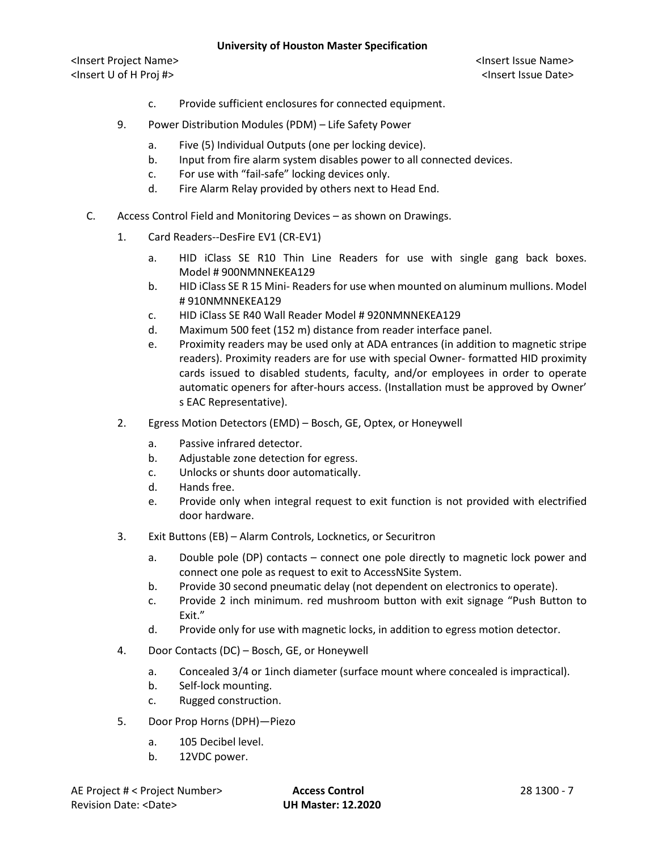<Insert Project Name> <Insert Issue Name> <Insert U of H Proj #> <Insert Issue Date>

- c. Provide sufficient enclosures for connected equipment.
- 9. Power Distribution Modules (PDM) Life Safety Power
	- a. Five (5) Individual Outputs (one per locking device).
	- b. Input from fire alarm system disables power to all connected devices.
	- c. For use with "fail-safe" locking devices only.
	- d. Fire Alarm Relay provided by others next to Head End.
- C. Access Control Field and Monitoring Devices as shown on Drawings.
	- 1. Card Readers--DesFire EV1 (CR-EV1)
		- a. HID iClass SE R10 Thin Line Readers for use with single gang back boxes. Model # 900NMNNEKEA129
		- b. HID iClass SE R 15 Mini- Readers for use when mounted on aluminum mullions. Model # 910NMNNEKEA129
		- c. HID iClass SE R40 Wall Reader Model # 920NMNNEKEA129
		- d. Maximum 500 feet (152 m) distance from reader interface panel.
		- e. Proximity readers may be used only at ADA entrances (in addition to magnetic stripe readers). Proximity readers are for use with special Owner- formatted HID proximity cards issued to disabled students, faculty, and/or employees in order to operate automatic openers for after-hours access. (Installation must be approved by Owner' s EAC Representative).
	- 2. Egress Motion Detectors (EMD) Bosch, GE, Optex, or Honeywell
		- a. Passive infrared detector.
		- b. Adjustable zone detection for egress.
		- c. Unlocks or shunts door automatically.
		- d. Hands free.
		- e. Provide only when integral request to exit function is not provided with electrified door hardware.
	- 3. Exit Buttons (EB) Alarm Controls, Locknetics, or Securitron
		- a. Double pole (DP) contacts connect one pole directly to magnetic lock power and connect one pole as request to exit to AccessNSite System.
		- b. Provide 30 second pneumatic delay (not dependent on electronics to operate).
		- c. Provide 2 inch minimum. red mushroom button with exit signage "Push Button to Exit."
		- d. Provide only for use with magnetic locks, in addition to egress motion detector.
	- 4. Door Contacts (DC) Bosch, GE, or Honeywell
		- a. Concealed 3/4 or 1inch diameter (surface mount where concealed is impractical).
		- b. Self-lock mounting.
		- c. Rugged construction.
	- 5. Door Prop Horns (DPH)—Piezo
		- a. 105 Decibel level.
		- b. 12VDC power.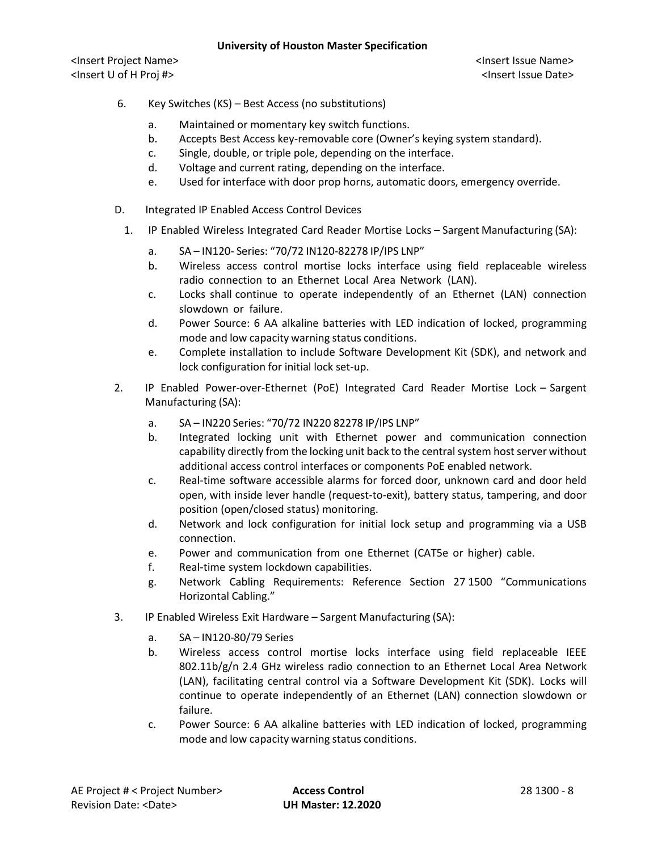- 6. Key Switches (KS) Best Access (no substitutions)
	- a. Maintained or momentary key switch functions.
	- b. Accepts Best Access key-removable core (Owner's keying system standard).
	- c. Single, double, or triple pole, depending on the interface.
	- d. Voltage and current rating, depending on the interface.
	- e. Used for interface with door prop horns, automatic doors, emergency override.
- D. Integrated IP Enabled Access Control Devices
	- 1. IP Enabled Wireless Integrated Card Reader Mortise Locks Sargent Manufacturing (SA):
		- a. SA IN120- Series: "70/72 IN120-82278 IP/IPS LNP"
		- b. Wireless access control mortise locks interface using field replaceable wireless radio connection to an Ethernet Local Area Network (LAN).
		- c. Locks shall continue to operate independently of an Ethernet (LAN) connection slowdown or failure.
		- d. Power Source: 6 AA alkaline batteries with LED indication of locked, programming mode and low capacity warning status conditions.
		- e. Complete installation to include Software Development Kit (SDK), and network and lock configuration for initial lock set-up.
- 2. IP Enabled Power-over-Ethernet (PoE) Integrated Card Reader Mortise Lock Sargent Manufacturing (SA):
	- a. SA IN220 Series: "70/72 IN220 82278 IP/IPS LNP"
	- b. Integrated locking unit with Ethernet power and communication connection capability directly from the locking unit back to the central system host server without additional access control interfaces or components PoE enabled network.
	- c. Real-time software accessible alarms for forced door, unknown card and door held open, with inside lever handle (request-to-exit), battery status, tampering, and door position (open/closed status) monitoring.
	- d. Network and lock configuration for initial lock setup and programming via a USB connection.
	- e. Power and communication from one Ethernet (CAT5e or higher) cable.
	- f. Real-time system lockdown capabilities.
	- g. Network Cabling Requirements: Reference Section 27 1500 "Communications Horizontal Cabling."
- 3. IP Enabled Wireless Exit Hardware Sargent Manufacturing (SA):
	- a. SA IN120-80/79 Series
	- b. Wireless access control mortise locks interface using field replaceable IEEE 802.11b/g/n 2.4 GHz wireless radio connection to an Ethernet Local Area Network (LAN), facilitating central control via a Software Development Kit (SDK). Locks will continue to operate independently of an Ethernet (LAN) connection slowdown or failure.
	- c. Power Source: 6 AA alkaline batteries with LED indication of locked, programming mode and low capacity warning status conditions.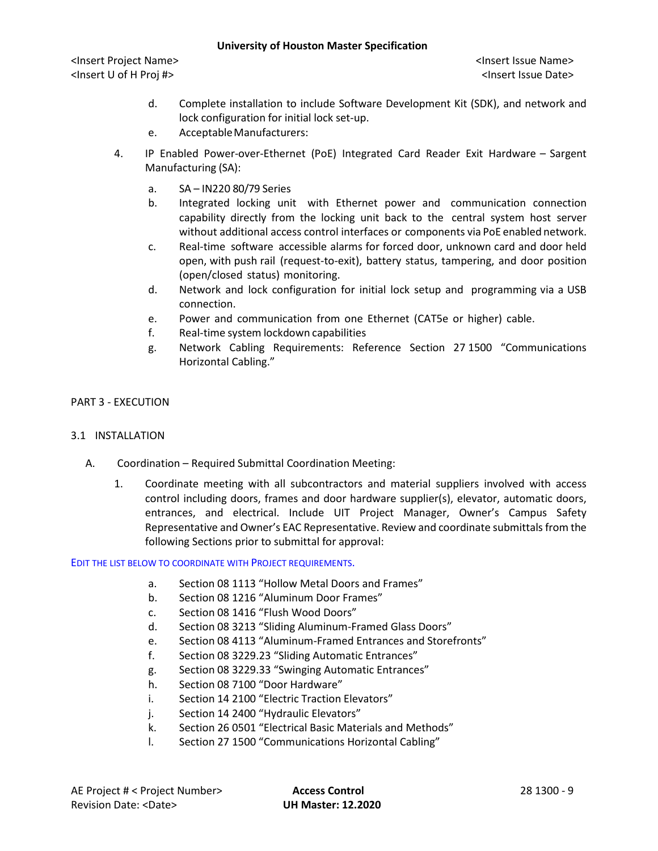<Insert Project Name> <Insert Issue Name> <Insert U of H Proj #> <Insert Issue Date>

- d. Complete installation to include Software Development Kit (SDK), and network and lock configuration for initial lock set-up.
- e. AcceptableManufacturers:
- 4. IP Enabled Power-over-Ethernet (PoE) Integrated Card Reader Exit Hardware Sargent Manufacturing (SA):
	- a. SA IN220 80/79 Series
	- b. Integrated locking unit with Ethernet power and communication connection capability directly from the locking unit back to the central system host server without additional access control interfaces or components via PoE enabled network.
	- c. Real-time software accessible alarms for forced door, unknown card and door held open, with push rail (request-to-exit), battery status, tampering, and door position (open/closed status) monitoring.
	- d. Network and lock configuration for initial lock setup and programming via a USB connection.
	- e. Power and communication from one Ethernet (CAT5e or higher) cable.
	- f. Real-time system lockdown capabilities
	- g. Network Cabling Requirements: Reference Section 27 1500 "Communications Horizontal Cabling."

# PART 3 - EXECUTION

#### 3.1 INSTALLATION

- A. Coordination Required Submittal Coordination Meeting:
	- 1. Coordinate meeting with all subcontractors and material suppliers involved with access control including doors, frames and door hardware supplier(s), elevator, automatic doors, entrances, and electrical. Include UIT Project Manager, Owner's Campus Safety Representative and Owner's EAC Representative. Review and coordinate submittals from the following Sections prior to submittal for approval:

#### EDIT THE LIST BELOW TO COORDINATE WITH PROJECT REQUIREMENTS.

- a. Section 08 1113 "Hollow Metal Doors and Frames"
- b. Section 08 1216 "Aluminum Door Frames"
- c. Section 08 1416 "Flush Wood Doors"
- d. Section 08 3213 "Sliding Aluminum-Framed Glass Doors"
- e. Section 08 4113 "Aluminum-Framed Entrances and Storefronts"
- f. Section 08 3229.23 "Sliding Automatic Entrances"
- g. Section 08 3229.33 "Swinging Automatic Entrances"
- h. Section 08 7100 "Door Hardware"
- i. Section 14 2100 "Electric Traction Elevators"
- j. Section 14 2400 "Hydraulic Elevators"
- k. Section 26 0501 "Electrical Basic Materials and Methods"
- l. Section 27 1500 "Communications Horizontal Cabling"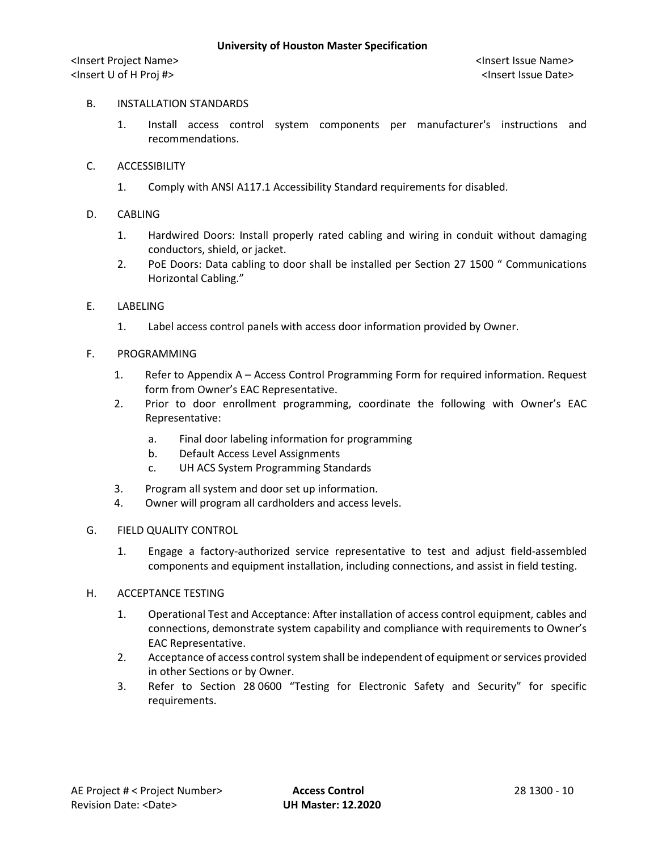# B. INSTALLATION STANDARDS

- 1. Install access control system components per manufacturer's instructions and recommendations.
- C. ACCESSIBILITY
	- 1. Comply with ANSI A117.1 Accessibility Standard requirements for disabled.
- D. CABLING
	- 1. Hardwired Doors: Install properly rated cabling and wiring in conduit without damaging conductors, shield, or jacket.
	- 2. PoE Doors: Data cabling to door shall be installed per Section 27 1500 " Communications Horizontal Cabling."
- E. LABELING
	- 1. Label access control panels with access door information provided by Owner.
- F. PROGRAMMING
	- 1. Refer to Appendix A Access Control Programming Form for required information. Request form from Owner's EAC Representative.
	- 2. Prior to door enrollment programming, coordinate the following with Owner's EAC Representative:
		- a. Final door labeling information for programming
		- b. Default Access Level Assignments
		- c. UH ACS System Programming Standards
	- 3. Program all system and door set up information.
	- 4. Owner will program all cardholders and access levels.

#### G. FIELD QUALITY CONTROL

- 1. Engage a factory-authorized service representative to test and adjust field-assembled components and equipment installation, including connections, and assist in field testing.
- H. ACCEPTANCE TESTING
	- 1. Operational Test and Acceptance: After installation of access control equipment, cables and connections, demonstrate system capability and compliance with requirements to Owner's EAC Representative.
	- 2. Acceptance of access control system shall be independent of equipment or services provided in other Sections or by Owner.
	- 3. Refer to Section 28 0600 "Testing for Electronic Safety and Security" for specific requirements.